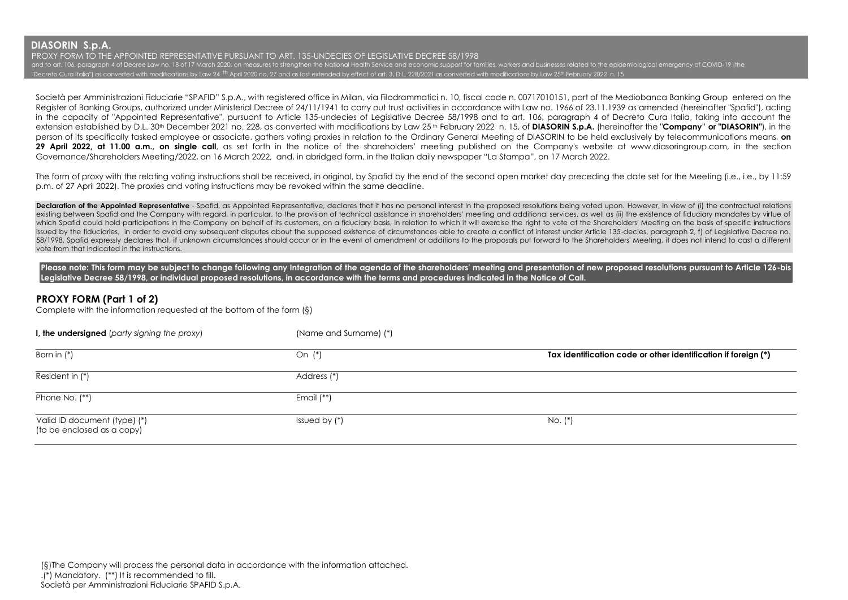PROXY FORM TO THE APPOINTED REPRESENTATIVE PURSUANT TO ART. 135-UNDECIES OF LEGISLATIVE DECREE 58/1998 and to art. 106, paragraph 4 of Decree Law no. 18 of 17 March 2020, on measures to strengthen the National Health Service and economic support for families, workers and businesses related to the epidemiological emergency o "Decreto Cura Italia") as converted with modifications by Law 24 <sup>th</sup> April 2020 no. 27 and as last extended by effect of art. 3, D.L. 228/2021 as converted with modifications by Law 25th February 2022 n. 15

Società per Amministrazioni Fiduciarie "SPAFID" S.p.A., with registered office in Milan, via Filodrammatici n. 10, fiscal code n. 00717010151, part of the Mediobanca Banking Group entered on the Register of Banking Groups, authorized under Ministerial Decree of 24/11/1941 to carry out trust activities in accordance with Law no. 1966 of 23.11.1939 as amended (hereinafter "Spafid"), acting in the capacity of "Appointed Representative", pursuant to Article 135-undecies of Legislative Decree 58/1998 and to art. 106, paragraph 4 of Decreto Cura Italia, taking into account the extension established by D.L. 30th December 2021 no. 228, as converted with modifications by Law 25 th February 2022 n. 15, of **DIASORIN S.p.A.** (hereinafter the "**Company**" **or "DIASORIN"**), in the person of its specifically tasked employee or associate, gathers voting proxies in relation to the Ordinary General Meeting of DIASORIN to be held exclusively by telecommunications means, **on**  29 April 2022, at 11.00 a.m., on single call, as set forth in the notice of the shareholders' meeting published on the Company's website at www.diasoringroup.com, in the section Governance/Shareholders Meeting/2022, on 16 March 2022, and, in abridged form, in the Italian daily newspaper "La Stampa", on 17 March 2022.

The form of proxy with the relating voting instructions shall be received, in original, by Spafid by the end of the second open market day preceding the date set for the Meeting (i.e., i.e., by 11:59 p.m. of 27 April 2022). The proxies and voting instructions may be revoked within the same deadline.

Declaration of the Appointed Representative - Spafid, as Appointed Representative, declares that it has no personal interest in the proposed resolutions being voted upon. However, in view of (i) the contractual relations existing between Spafid and the Company with regard, in particular, to the provision of technical assistance in shareholders' meeting and additional services, as well as (ii) the existence of fiduciary mandates by virtue o which Spafid could hold participations in the Company on behalf of its customers, on a fiduciary basis, in relation to which it will exercise the right to yote at the Shareholders' Meeting on the basis of specific instruct issued by the fiduciaries, in order to avoid any subsequent disputes about the supposed existence of circumstances able to create a conflict of interest under Article 135-decies, paragraph 2, f) of Legislative Decree no. 58/1998, Spafid expressly declares that, if unknown circumstances should occur or in the event of amendment or additions to the proposals put forward to the Shareholders' Meeting, it does not intend to cast a different vote from that indicated in the instructions.

Please note: This form may be subject to change following any Integration of the agenda of the shareholders' meeting and presentation of new proposed resolutions pursuant to Article 126-bis **Legislative Decree 58/1998, or individual proposed resolutions, in accordance with the terms and procedures indicated in the Notice of Call.**

## **PROXY FORM (Part 1 of 2)**

Complete with the information requested at the bottom of the form (§)

| I, the undersigned (party signing the proxy)               | (Name and Surname) (*) |                                                                |
|------------------------------------------------------------|------------------------|----------------------------------------------------------------|
| Born in $(*)$                                              | On $(*)$               | Tax identification code or other identification if foreign (*) |
| Resident in (*)                                            | Address (*)            |                                                                |
| Phone No. (**)                                             | Email $(**)$           |                                                                |
| Valid ID document (type) (*)<br>(to be enclosed as a copy) | Issued by $(*)$        | $No.$ $(*)$                                                    |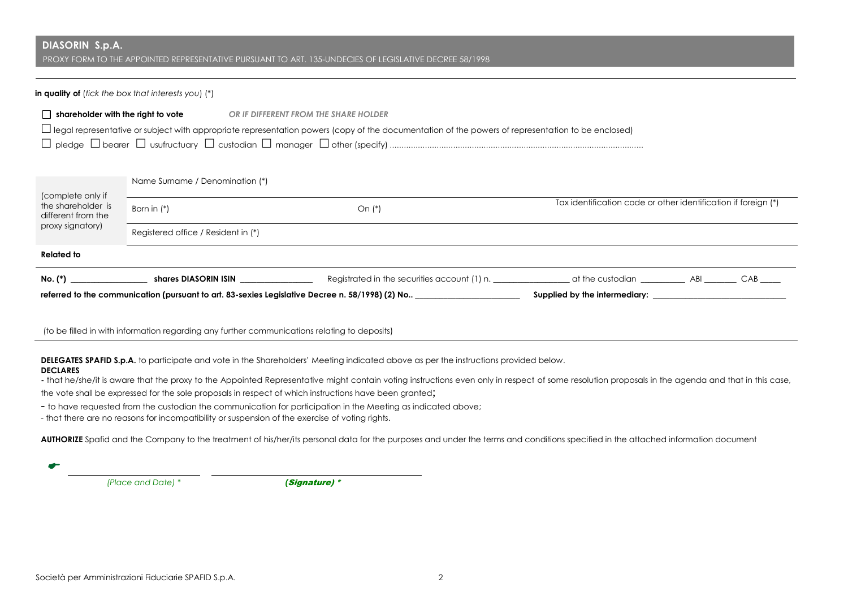PROXY FORM TO THE APPOINTED REPRESENTATIVE PURSUANT TO ART. 135-UNDECIES OF LEGISLATIVE DECREE 58/1998

#### **in quality of** (*tick the box that interests you*) (\*)

| $\Box$ shareholder with the right to vote<br>OR IF DIFFERENT FROM THE SHARE HOLDER                                                                       |                                     |                                                                                                 |                                                                |  |  |  |  |
|----------------------------------------------------------------------------------------------------------------------------------------------------------|-------------------------------------|-------------------------------------------------------------------------------------------------|----------------------------------------------------------------|--|--|--|--|
| $\Box$ legal representative or subject with appropriate representation powers (copy of the documentation of the powers of representation to be enclosed) |                                     |                                                                                                 |                                                                |  |  |  |  |
|                                                                                                                                                          |                                     |                                                                                                 |                                                                |  |  |  |  |
|                                                                                                                                                          |                                     |                                                                                                 |                                                                |  |  |  |  |
|                                                                                                                                                          | Name Surname / Denomination (*)     |                                                                                                 |                                                                |  |  |  |  |
| (complete only if<br>the shareholder is<br>different from the                                                                                            | Born in $(*)$                       | On $(*)$                                                                                        | Tax identification code or other identification if foreign (*) |  |  |  |  |
| proxy signatory)                                                                                                                                         | Registered office / Resident in (*) |                                                                                                 |                                                                |  |  |  |  |
| <b>Related to</b>                                                                                                                                        |                                     |                                                                                                 |                                                                |  |  |  |  |
| $\mathsf{No.}$ (*)                                                                                                                                       |                                     | shares DIASORIN ISIN                                                                            |                                                                |  |  |  |  |
|                                                                                                                                                          |                                     | referred to the communication (pursuant to art. 83-sexies Legislative Decree n. 58/1998) (2) No | Supplied by the intermediary:                                  |  |  |  |  |

(to be filled in with information regarding any further communications relating to deposits)

**DELEGATES SPAFID S.p.A.** to participate and vote in the Shareholders' Meeting indicated above as per the instructions provided below.

### **DECLARES**

**-** that he/she/it is aware that the proxy to the Appointed Representative might contain voting instructions even only in respect of some resolution proposals in the agenda and that in this case,

the vote shall be expressed for the sole proposals in respect of which instructions have been granted;

- to have requested from the custodian the communication for participation in the Meeting as indicated above;

- that there are no reasons for incompatibility or suspension of the exercise of voting rights.

AUTHORIZE Spafid and the Company to the treatment of his/her/its personal data for the purposes and under the terms and conditions specified in the attached information document

←

 *(Place and Date) \* (*Signature) \*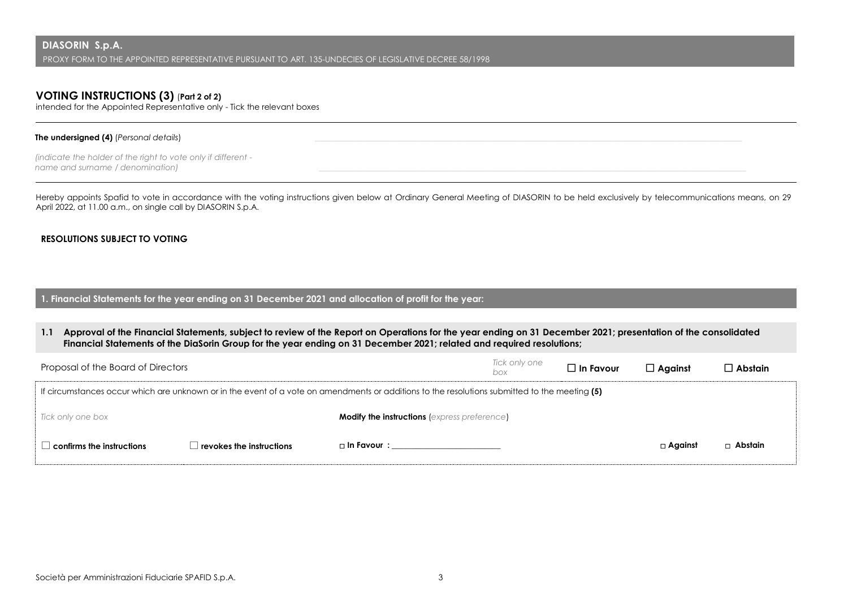# **VOTING INSTRUCTIONS (3)** (**Part 2 of 2)**

intended for the Appointed Representative only - Tick the relevant boxes

### **The undersigned (4)** (*Personal details*)

*(indicate the holder of the right to vote only if different name and surname / denomination) \_\_\_\_\_\_\_\_\_\_\_\_\_\_\_\_\_\_\_\_\_\_\_\_\_\_\_\_\_\_\_\_\_\_\_\_\_\_\_\_\_\_\_\_\_\_\_\_\_\_\_\_\_\_\_\_\_\_\_\_\_\_\_\_\_\_\_\_\_\_\_\_\_\_\_\_\_\_\_\_\_\_\_\_\_\_\_\_\_\_\_\_\_\_\_\_\_\_\_\_\_\_\_\_\_\_* 

Hereby appoints Spafid to vote in accordance with the voting instructions given below at Ordinary General Meeting of DIASORIN to be held exclusively by telecommunications means, on 29 April 2022, at 11.00 a.m., on single call by DIASORIN S.p.A.

### **RESOLUTIONS SUBJECT TO VOTING**

**1. Financial Statements for the year ending on 31 December 2021 and allocation of profit for the year:**

**1.1 Approval of the Financial Statements, subject to review of the Report on Operations for the year ending on 31 December 2021; presentation of the consolidated Financial Statements of the DiaSorin Group for the year ending on 31 December 2021; related and required resolutions;**

| Proposal of the Board of Directors                                                                                                            |                          |                                                     | Tick only one<br>box | $\Box$ In Favour | $\Box$ Against | ∃ Abstain I |
|-----------------------------------------------------------------------------------------------------------------------------------------------|--------------------------|-----------------------------------------------------|----------------------|------------------|----------------|-------------|
| If circumstances occur which are unknown or in the event of a vote on amendments or additions to the resolutions submitted to the meeting (5) |                          |                                                     |                      |                  |                |             |
| Tick only one box                                                                                                                             |                          | <b>Modify the instructions (express preference)</b> |                      |                  |                |             |
| $\,$ confirms the instructions $\,$                                                                                                           | revokes the instructions | □ In Favour :                                       |                      |                  | $\Box$ Against | □ Abstain   |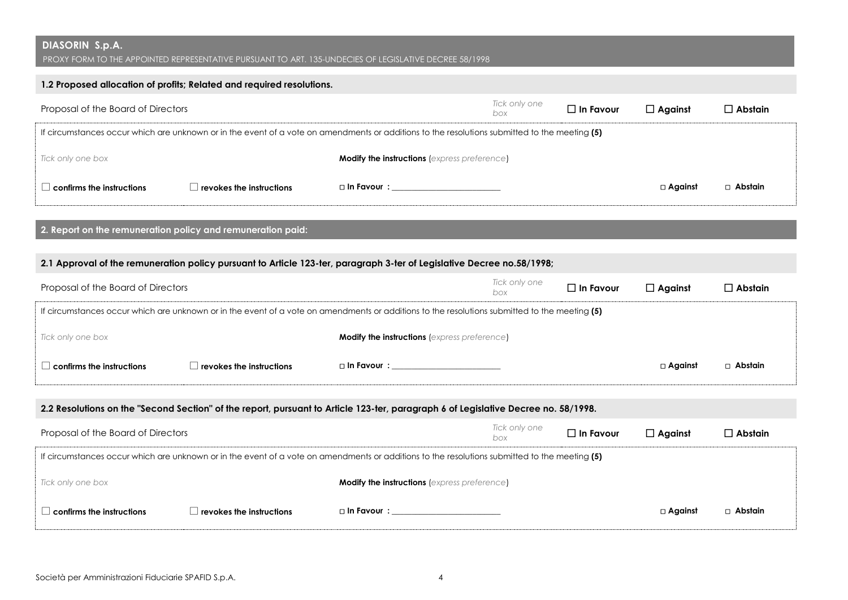PROXY FORM TO THE APPOINTED REPRESENTATIVE PURSUANT TO ART. 135-UNDECIES OF LEGISLATIVE DECREE 58/1998

## **1.2 Proposed allocation of profits; Related and required resolutions.**

| Proposal of the Board of Directors                                                                                                            |                                          |                                                     | Tick only one<br>box | $\Box$ In Favour | $\Box$ Against | $\Box$ Abstain |
|-----------------------------------------------------------------------------------------------------------------------------------------------|------------------------------------------|-----------------------------------------------------|----------------------|------------------|----------------|----------------|
| If circumstances occur which are unknown or in the event of a vote on amendments or additions to the resolutions submitted to the meeting (5) |                                          |                                                     |                      |                  |                |                |
| Tick only one box                                                                                                                             |                                          | <b>Modify the instructions (express preference)</b> |                      |                  |                |                |
| $\Box$ confirms the instructions                                                                                                              | $\perp$ revokes the instructions $\perp$ | $\Box$ In Favour $\colon$                           |                      |                  | $\Box$ Against | □ Abstain      |

**2. Report on the remuneration policy and remuneration paid:**

## **2.1 Approval of the remuneration policy pursuant to Article 123-ter, paragraph 3-ter of Legislative Decree no.58/1998;**

| Proposal of the Board of Directors                                                                                                            |                                  |                                                     | Tick only one<br>box | $\Box$ In Favour | $\Box$ Against | □ Abstain |
|-----------------------------------------------------------------------------------------------------------------------------------------------|----------------------------------|-----------------------------------------------------|----------------------|------------------|----------------|-----------|
| If circumstances occur which are unknown or in the event of a vote on amendments or additions to the resolutions submitted to the meeting (5) |                                  |                                                     |                      |                  |                |           |
| Tick only one box                                                                                                                             |                                  | <b>Modify the instructions (express preference)</b> |                      |                  |                |           |
| $\,$ confirms the instructions $\,$                                                                                                           | $\perp$ revokes the instructions | $\Box$ In Favour $\colon$                           |                      |                  | $\Box$ Against | □ Abstain |

## **2.2 Resolutions on the "Second Section" of the report, pursuant to Article 123-ter, paragraph 6 of Legislative Decree no. 58/1998.**

| Proposal of the Board of Directors                                                                                                            |                          |                                                     | Tick only one<br>box | $\Box$ In Favour | $\Box$ Against | $\square$ Abstain |
|-----------------------------------------------------------------------------------------------------------------------------------------------|--------------------------|-----------------------------------------------------|----------------------|------------------|----------------|-------------------|
| If circumstances occur which are unknown or in the event of a vote on amendments or additions to the resolutions submitted to the meeting (5) |                          |                                                     |                      |                  |                |                   |
| Tick only one box                                                                                                                             |                          | <b>Modify the instructions (express preference)</b> |                      |                  |                |                   |
| $\,$ confirms the instructions $\,$                                                                                                           | revokes the instructions | □ In Favour :                                       |                      |                  | $\Box$ Against | □ Abstain         |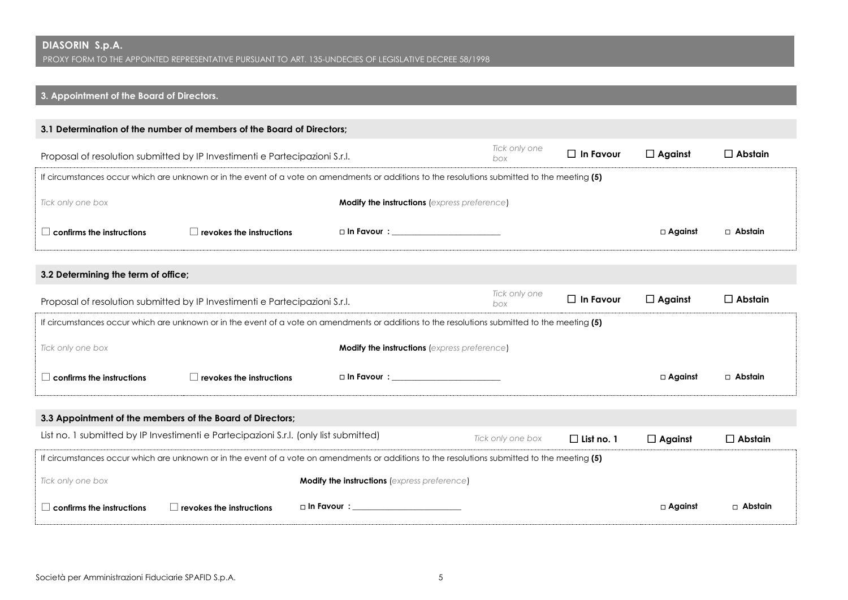## **3. Appointment of the Board of Directors 3. Appointment of the Board of Directors.**

|                                                                                                                                               | 3.1 Determination of the number of members of the Board of Directors;                                                                         |                                                     |                      |                   |                |                |
|-----------------------------------------------------------------------------------------------------------------------------------------------|-----------------------------------------------------------------------------------------------------------------------------------------------|-----------------------------------------------------|----------------------|-------------------|----------------|----------------|
| Proposal of resolution submitted by IP Investimenti e Partecipazioni S.r.l.                                                                   |                                                                                                                                               | Tick only one<br>box                                | $\Box$ In Favour     | $\Box$ Against    | $\Box$ Abstain |                |
|                                                                                                                                               | If circumstances occur which are unknown or in the event of a vote on amendments or additions to the resolutions submitted to the meeting (5) |                                                     |                      |                   |                |                |
| Tick only one box                                                                                                                             |                                                                                                                                               | <b>Modify the instructions (express preference)</b> |                      |                   |                |                |
| $\Box$ confirms the instructions                                                                                                              | $\Box$ revokes the instructions                                                                                                               | $\square$ In Favour $\square$                       |                      |                   | $\Box$ Against | $\Box$ Abstain |
| 3.2 Determining the term of office;                                                                                                           |                                                                                                                                               |                                                     |                      |                   |                |                |
|                                                                                                                                               | Proposal of resolution submitted by IP Investimenti e Partecipazioni S.r.l.                                                                   |                                                     | Tick only one<br>box | $\Box$ In Favour  | $\Box$ Against | $\Box$ Abstain |
|                                                                                                                                               | If circumstances occur which are unknown or in the event of a vote on amendments or additions to the resolutions submitted to the meeting (5) |                                                     |                      |                   |                |                |
| Tick only one box                                                                                                                             |                                                                                                                                               | <b>Modify the instructions (express preference)</b> |                      |                   |                |                |
| $\Box$ confirms the instructions                                                                                                              | $\Box$ revokes the instructions                                                                                                               | $\Box$ In Favour $\colon$                           |                      |                   | $\Box$ Against | $\Box$ Abstain |
|                                                                                                                                               | 3.3 Appointment of the members of the Board of Directors;                                                                                     |                                                     |                      |                   |                |                |
|                                                                                                                                               | List no. 1 submitted by IP Investimenti e Partecipazioni S.r.I. (only list submitted)                                                         |                                                     | Tick only one box    | $\Box$ List no. 1 | $\Box$ Against | $\Box$ Abstain |
| If circumstances occur which are unknown or in the event of a vote on amendments or additions to the resolutions submitted to the meeting (5) |                                                                                                                                               |                                                     |                      |                   |                |                |
| Tick only one box                                                                                                                             |                                                                                                                                               | <b>Modify the instructions (express preference)</b> |                      |                   |                |                |
| $\Box$ confirms the instructions                                                                                                              | $\Box$ revokes the instructions                                                                                                               | $\Box$ In Favour $\colon$                           |                      |                   | $\Box$ Against | $\Box$ Abstain |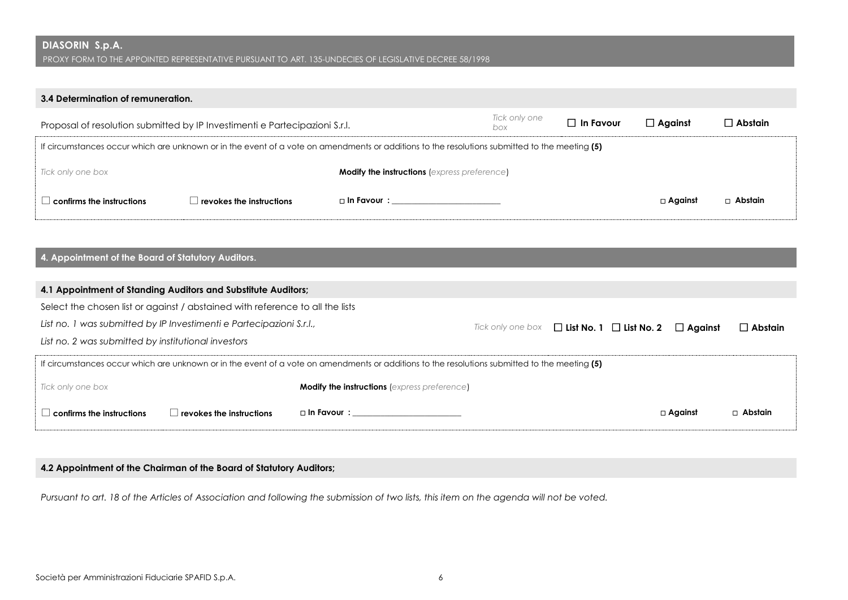PROXY FORM TO THE APPOINTED REPRESENTATIVE PURSUANT TO ART. 135-UNDECIES OF LEGISLATIVE DECREE 58/1998

## **3.4 Determination of remuneration.**

| Proposal of resolution submitted by IP Investimenti e Partecipazioni S.r.l.                                                                   |                                          |                                                     | Tick only one<br>box | $\Box$ In Favour | $\Box$ Against | $\Box$ Abstain |
|-----------------------------------------------------------------------------------------------------------------------------------------------|------------------------------------------|-----------------------------------------------------|----------------------|------------------|----------------|----------------|
| If circumstances occur which are unknown or in the event of a vote on amendments or additions to the resolutions submitted to the meeting (5) |                                          |                                                     |                      |                  |                |                |
| Tick only one box                                                                                                                             |                                          | <b>Modify the instructions (express preference)</b> |                      |                  |                |                |
| $\perp$ confirms the instructions $\perp$                                                                                                     | $\perp$ revokes the instructions $\perp$ | $\Box$ In Favour $\colon$                           |                      |                  | $\Box$ Against | $\Box$ Abstain |

## **4. Appointment of the Board of Statutory Auditors.**

| 4.1 Appointment of Standing Auditors and Substitute Auditors;                                                                                 |                                                     |                                                       |                |                |                |  |
|-----------------------------------------------------------------------------------------------------------------------------------------------|-----------------------------------------------------|-------------------------------------------------------|----------------|----------------|----------------|--|
| Select the chosen list or against / abstained with reference to all the lists                                                                 |                                                     |                                                       |                |                |                |  |
| List no. 1 was submitted by IP Investimenti e Partecipazioni S.r.l.,                                                                          |                                                     | Tick only one box $\Box$ List No. 1 $\Box$ List No. 2 | $\Box$ Aaainst | $\Box$ Abstain |                |  |
| List no. 2 was submitted by institutional investors                                                                                           |                                                     |                                                       |                |                |                |  |
| If circumstances occur which are unknown or in the event of a vote on amendments or additions to the resolutions submitted to the meeting (5) |                                                     |                                                       |                |                |                |  |
| Tick only one box                                                                                                                             | <b>Modify the instructions</b> (express preference) |                                                       |                |                |                |  |
| confirms the instructions<br>revokes the instructions                                                                                         | $\Box$ In Favour $\colon$                           |                                                       |                | $\Box$ Against | $\Box$ Abstain |  |

## **4.2 Appointment of the Chairman of the Board of Statutory Auditors;**

*Pursuant to art. 18 of the Articles of Association and following the submission of two lists, this item on the agenda will not be voted.*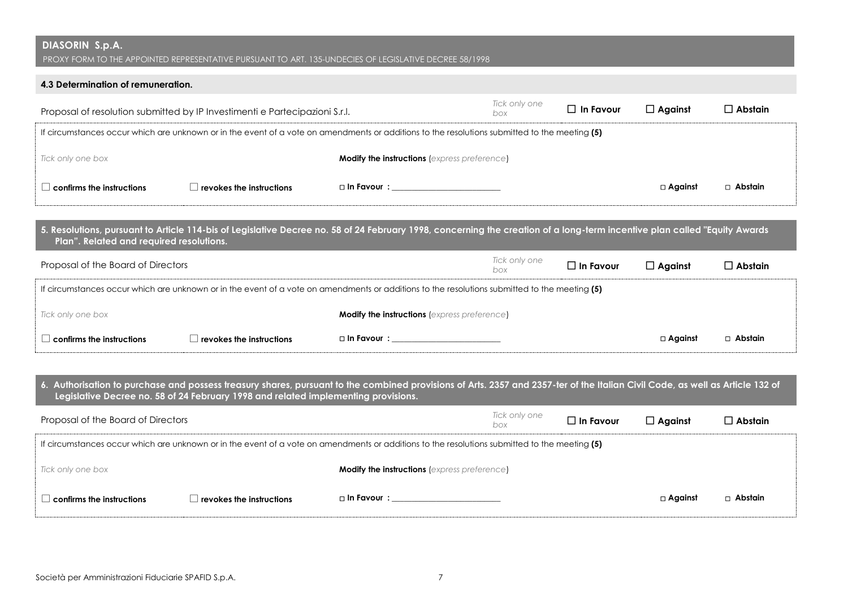| DIASORIN S.p.A. |  |
|-----------------|--|
|-----------------|--|

## **4.3 Determination of remuneration.**

| Proposal of resolution submitted by IP Investimenti e Partecipazioni S.r.l.                                                                   |                                 |                                                     | Tick only one<br>box | $\Box$ In Favour | $\Box$ Against | $\Box$ Abstain |
|-----------------------------------------------------------------------------------------------------------------------------------------------|---------------------------------|-----------------------------------------------------|----------------------|------------------|----------------|----------------|
| If circumstances occur which are unknown or in the event of a vote on amendments or additions to the resolutions submitted to the meeting (5) |                                 |                                                     |                      |                  |                |                |
| Tick only one box                                                                                                                             |                                 | <b>Modify the instructions</b> (express preference) |                      |                  |                |                |
| $\Box$ confirms the instructions                                                                                                              | $\Box$ revokes the instructions | $\Box$ In Favour $\colon$                           |                      |                  | $\Box$ Against | $\Box$ Abstain |

| 5. Resolutions, pursuant to Article 114-bis of Legislative Decree no. 58 of 24 February 1998, concerning the creation of a long-term incentive plan called "Equity Awards |  |
|---------------------------------------------------------------------------------------------------------------------------------------------------------------------------|--|
| <b>Plan". Related and required resolutions.</b>                                                                                                                           |  |

| Proposal of the Board of Directors                                                                                                            |                          |                                                     | Tick only one<br>box | $\Box$ In Favour | $\Box$ Against | $\Box$ Abstain |  |
|-----------------------------------------------------------------------------------------------------------------------------------------------|--------------------------|-----------------------------------------------------|----------------------|------------------|----------------|----------------|--|
| If circumstances occur which are unknown or in the event of a vote on amendments or additions to the resolutions submitted to the meeting (5) |                          |                                                     |                      |                  |                |                |  |
| Tick only one box                                                                                                                             |                          | <b>Modify the instructions (express preference)</b> |                      |                  |                |                |  |
| $\perp$ confirms the instructions                                                                                                             | revokes the instructions | □ In Favour :                                       |                      |                  | $\Box$ Against | □ Abstain      |  |

**6. Authorisation to purchase and possess treasury shares, pursuant to the combined provisions of Arts. 2357 and 2357-ter of the Italian Civil Code, as well as Article 132 of Legislative Decree no. 58 of 24 February 1998 and related implementing provisions.**

| Proposal of the Board of Directors                                                                                                            |                          |                                                     | Tick only one<br>box | $\square$ In Favour | $\Box$ Against | $\square$ Abstain |  |
|-----------------------------------------------------------------------------------------------------------------------------------------------|--------------------------|-----------------------------------------------------|----------------------|---------------------|----------------|-------------------|--|
| If circumstances occur which are unknown or in the event of a vote on amendments or additions to the resolutions submitted to the meeting (5) |                          |                                                     |                      |                     |                |                   |  |
| Tick only one box                                                                                                                             |                          | <b>Modify the instructions (express preference)</b> |                      |                     |                |                   |  |
| $\perp$ confirms the instructions                                                                                                             | revokes the instructions | $\Box$ In Favour $\colon$                           |                      |                     | $\Box$ Against | □ Abstain         |  |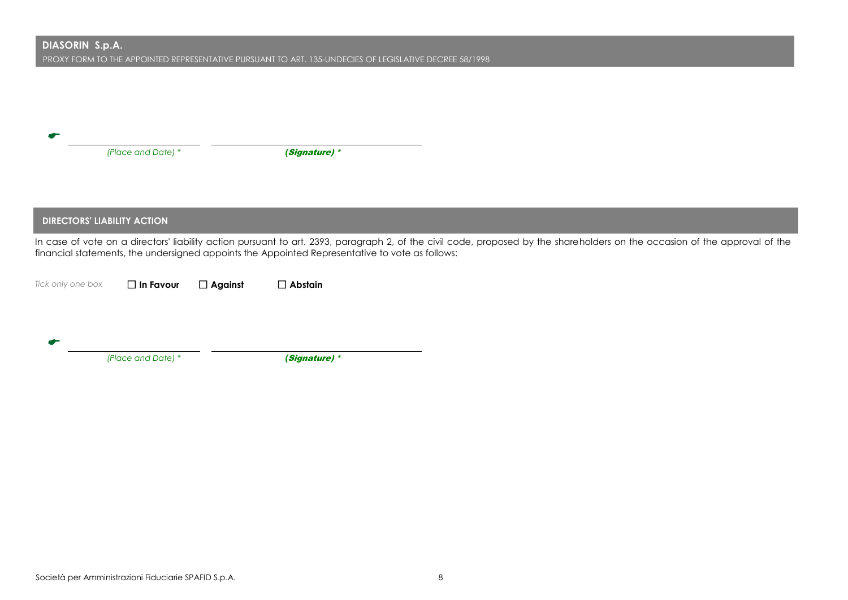|                   | (Place and Date) *                 |                | (Signature) *                                                                                                                                                                                                                                                                  |  |  |
|-------------------|------------------------------------|----------------|--------------------------------------------------------------------------------------------------------------------------------------------------------------------------------------------------------------------------------------------------------------------------------|--|--|
|                   |                                    |                |                                                                                                                                                                                                                                                                                |  |  |
|                   |                                    |                |                                                                                                                                                                                                                                                                                |  |  |
|                   |                                    |                |                                                                                                                                                                                                                                                                                |  |  |
|                   | <b>DIRECTORS' LIABILITY ACTION</b> |                |                                                                                                                                                                                                                                                                                |  |  |
|                   |                                    |                | In case of vote on a directors' liability action pursuant to art. 2393, paragraph 2, of the civil code, proposed by the shareholders on the occasion of the approval of the<br>financial statements, the undersigned appoints the Appointed Representative to vote as follows: |  |  |
| Tick only one box | $\Box$ In Favour                   | $\Box$ Against | $\Box$ Abstain                                                                                                                                                                                                                                                                 |  |  |
|                   |                                    |                |                                                                                                                                                                                                                                                                                |  |  |
|                   |                                    |                |                                                                                                                                                                                                                                                                                |  |  |
|                   | (Place and Date) *                 |                | (Signature) *                                                                                                                                                                                                                                                                  |  |  |
|                   |                                    |                |                                                                                                                                                                                                                                                                                |  |  |
|                   |                                    |                |                                                                                                                                                                                                                                                                                |  |  |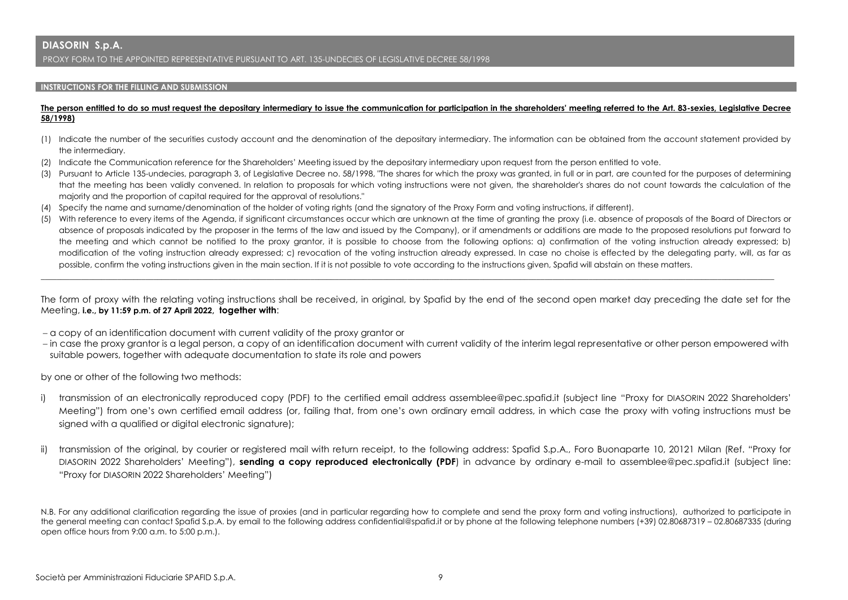#### **INSTRUCTIONS FOR THE FILLING AND SUBMISSION**

#### **The person entitled to do so must request the depositary intermediary to issue the communication for participation in the shareholders' meeting referred to the Art. 83-sexies, Legislative Decree 58/1998)**

- (1) Indicate the number of the securities custody account and the denomination of the depositary intermediary. The information can be obtained from the account statement provided by the intermediary.
- (2) Indicate the Communication reference for the Shareholders' Meeting issued by the depositary intermediary upon request from the person entitled to vote.
- (3) Pursuant to Article 135-undecies, paragraph 3, of Legislative Decree no. 58/1998, "The shares for which the proxy was granted, in full or in part, are counted for the purposes of determining that the meeting has been validly convened. In relation to proposals for which voting instructions were not given, the shareholder's shares do not count towards the calculation of the majority and the proportion of capital required for the approval of resolutions."
- (4) Specify the name and surname/denomination of the holder of voting rights (and the signatory of the Proxy Form and voting instructions, if different).
- (5) With reference to every items of the Agenda, if significant circumstances occur which are unknown at the time of granting the proxy (i.e. absence of proposals of the Board of Directors or absence of proposals indicated by the proposer in the terms of the law and issued by the Company), or if amendments or additions are made to the proposed resolutions put forward to the meeting and which cannot be notified to the proxy grantor, it is possible to choose from the following options: a) confirmation of the voting instruction already expressed; b) modification of the voting instruction already expressed; c) revocation of the voting instruction already expressed. In case no choise is effected by the delegating party, will, as far as possible, confirm the voting instructions given in the main section. If it is not possible to vote according to the instructions given, Spafid will abstain on these matters.

The form of proxy with the relating voting instructions shall be received, in original, by Spafid by the end of the second open market day preceding the date set for the Meeting, **i.e., by 11:59 p.m. of 27 April 2022, together with**:

\_\_\_\_\_\_\_\_\_\_\_\_\_\_\_\_\_\_\_\_\_\_\_\_\_\_\_\_\_\_\_\_\_\_\_\_\_\_\_\_\_\_\_\_\_\_\_\_\_\_\_\_\_\_\_\_\_\_\_\_\_\_\_\_\_\_\_\_\_\_\_\_\_\_\_\_\_\_\_\_\_\_\_\_\_\_\_\_\_\_\_\_\_\_\_\_\_\_\_\_\_\_\_\_\_\_\_\_\_\_\_\_\_\_\_\_\_\_\_\_\_\_\_\_\_\_\_\_\_\_\_\_\_\_\_\_\_\_\_\_\_\_\_\_\_\_\_\_\_\_\_\_\_\_\_\_\_\_\_\_\_\_\_\_\_\_\_\_\_\_\_\_\_\_\_\_\_\_\_\_\_\_

- a copy of an identification document with current validity of the proxy grantor or
- in case the proxy grantor is a legal person, a copy of an identification document with current validity of the interim legal representative or other person empowered with suitable powers, together with adequate documentation to state its role and powers

by one or other of the following two methods:

- i) transmission of an electronically reproduced copy (PDF) to the certified email address assemblee@pec.spafid.it (subject line "Proxy for DIASORIN 2022 Shareholders' Meeting") from one's own certified email address (or, failing that, from one's own ordinary email address, in which case the proxy with voting instructions must be signed with a qualified or digital electronic signature);
- ii) transmission of the original, by courier or registered mail with return receipt, to the following address: Spafid S.p.A., Foro Buonaparte 10, 20121 Milan (Ref. "Proxy for DIASORIN 2022 Shareholders' Meeting"), **sending a copy reproduced electronically (PDF**) in advance by ordinary e-mail to assemblee@pec.spafid.it (subject line: "Proxy for DIASORIN 2022 Shareholders' Meeting")

N.B. For any additional clarification regarding the issue of proxies (and in particular regarding how to complete and send the proxy form and voting instructions), authorized to participate in the general meeting can contact Spafid S.p.A. by email to the following address confidential@spafid.it or by phone at the following telephone numbers (+39) 02.80687319 – 02.80687335 (during open office hours from 9:00 a.m. to 5:00 p.m.).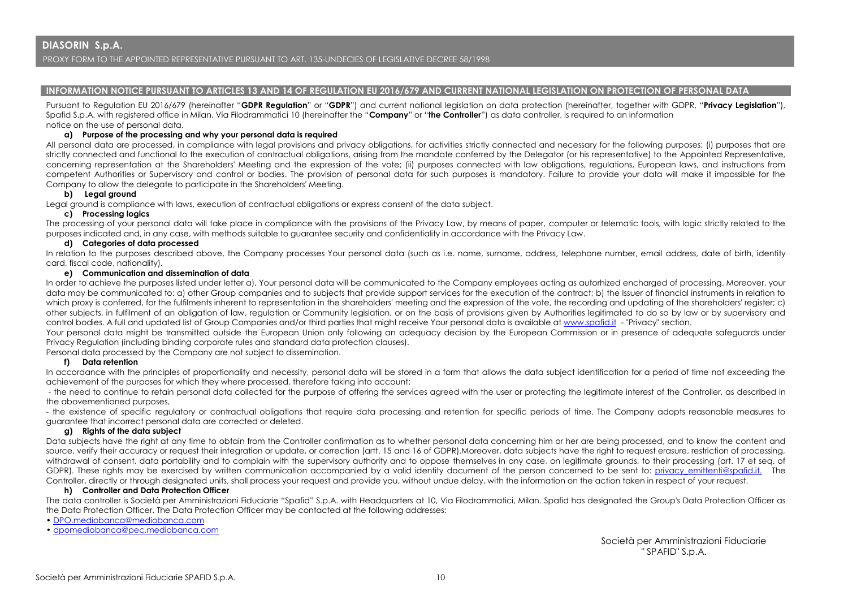### **INFORMATION NOTICE PURSUANT TO ARTICLES 13 AND 14 OF REGULATION EU 2016/679 AND CURRENT NATIONAL LEGISLATION ON PROTECTION OF PERSONAL DATA**

Pursuant to Regulation EU 2016/679 (hereinafter "**GDPR Regulation**" or "**GDPR**") and current national legislation on data protection (hereinafter, together with GDPR, "**Privacy Legislation**"), Spafid S.p.A. with registered office in Milan, Via Filodrammatici 10 (hereinafter the "**Company**" or "**the Controller**") as data controller, is required to an information notice on the use of personal data.

#### **a) Purpose of the processing and why your personal data is required**

All personal data are processed, in compliance with legal provisions and privacy obligations, for activities strictly connected and necessary for the following purposes: (i) purposes that are strictly connected and functional to the execution of contractual obligations, arising from the mandate conferred by the Delegator (or his representative) to the Appointed Representative, concerning representation at the Shareholders' Meeting and the expression of the vote; (ii) purposes connected with law obligations, regulations, European laws, and instructions from competent Authorities or Supervisory and control or bodies. The provision of personal data for such purposes is mandatory. Failure to provide your data will make it impossible for the Company to allow the delegate to participate in the Shareholders' Meeting.

### **b) Legal ground**

Legal ground is compliance with laws, execution of contractual obligations or express consent of the data subject.

#### **c) Processing logics**

The processing of your personal data will take place in compliance with the provisions of the Privacy Law, by means of paper, computer or telematic tools, with logic strictly related to the purposes indicated and, in any case, with methods suitable to guarantee security and confidentiality in accordance with the Privacy Law.

#### **d) Categories of data processed**

In relation to the purposes described above, the Company processes Your personal data (such as i.e. name, surname, address, telephone number, email address, date of birth, identity card, fiscal code, nationality).

#### **e) Communication and dissemination of data**

In order to achieve the purposes listed under letter a), Your personal data will be communicated to the Company employees acting as autorhized encharged of processing. Moreover, your data may be communicated to: a) other Group companies and to subjects that provide support services for the execution of the contract; b) the Issuer of financial instruments in relation to which proxy is conferred, for the fulfilments inherent to representation in the shareholders' meeting and the expression of the vote, the recording and updating of the shareholders' register; c) other subjects, in fulfilment of an obligation of law, regulation or Community legislation, or on the basis of provisions given by Authorities legitimated to do so by law or by supervisory and control bodies. A full and updated list of Group Companies and/or third parties that might receive Your personal data is available at [www.spafid.it](http://www.spafid.it/) - "Privacy" section.

Your personal data might be transmitted outside the European Union only following an adequacy decision by the European Commission or in presence of adequate safeguards under Privacy Regulation (including binding corporate rules and standard data protection clauses).

Personal data processed by the Company are not subject to dissemination.

#### **f) Data retention**

In accordance with the principles of proportionality and necessity, personal data will be stored in a form that allows the data subject identification for a period of time not exceeding the achievement of the purposes for which they where processed, therefore taking into account:

- the need to continue to retain personal data collected for the purpose of offering the services agreed with the user or protecting the legitimate interest of the Controller, as described in the abovementioned purposes,

- the existence of specific regulatory or contractual obligations that require data processing and retention for specific periods of time. The Company adopts reasonable measures to guarantee that incorrect personal data are corrected or deleted.

#### **g) Rights of the data subject**

Data subjects have the right at any time to obtain from the Controller confirmation as to whether personal data concerning him or her are being processed, and to know the content and source, verify their accuracy or request their integration or update, or correction (artt. 15 and 16 of GDPR).Moreover, data subjects have the right to request erasure, restriction of processing, withdrawal of consent, data portability and to complain with the supervisory authority and to oppose themselves in any case, on legitimate grounds, to their processing (art. 17 et seg. of GDPR). These rights may be exercised by written communication accompanied by a valid identity document of the person concerned to be sent to: privacy emittenti@spafid.it. The Controller, directly or through designated units, shall process your request and provide you, without undue delay, with the information on the action taken in respect of your request.

#### **h) Controller and Data Protection Officer**

The data controller is Società per Amministrazioni Fiduciarie "Spafid" S.p.A. with Headquarters at 10, Via Filodrammatici, Milan. Spafid has designated the Group's Data Protection Officer as the Data Protection Officer. The Data Protection Officer may be contacted at the following addresses:

- [DPO.mediobanca@mediobanca.com](mailto:DPO.mediobanca@mediobanca.com)
- [dpomediobanca@pec.mediobanca.com](mailto:dpomediobanca@pec.mediobanca.com)

 Società per Amministrazioni Fiduciarie " SPAFID" S.p.A.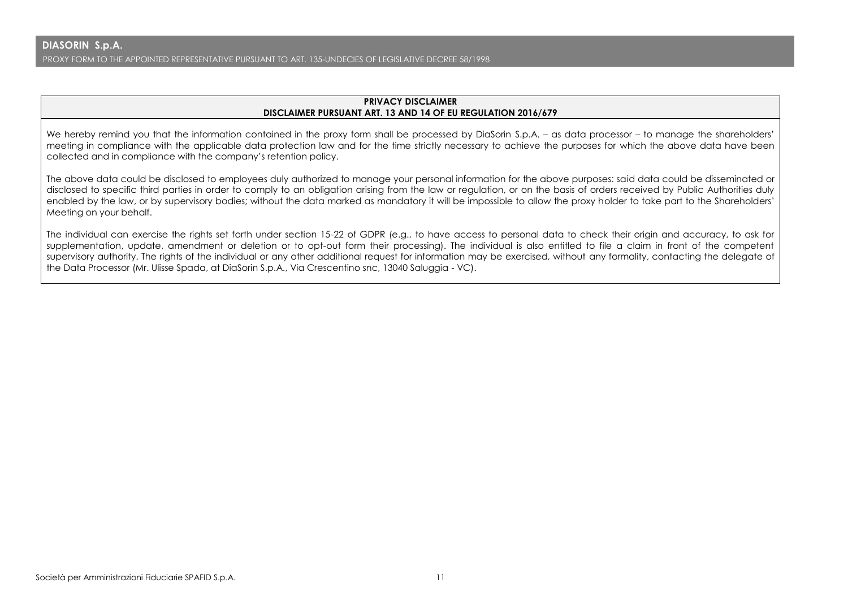## **PRIVACY DISCLAIMER DISCLAIMER PURSUANT ART. 13 AND 14 OF EU REGULATION 2016/679**

We hereby remind you that the information contained in the proxy form shall be processed by DiaSorin S.p.A. – as data processor – to manage the shareholders' meeting in compliance with the applicable data protection law and for the time strictly necessary to achieve the purposes for which the above data have been collected and in compliance with the company's retention policy.

The above data could be disclosed to employees duly authorized to manage your personal information for the above purposes: said data could be disseminated or disclosed to specific third parties in order to comply to an obligation arising from the law or regulation, or on the basis of orders received by Public Authorities duly enabled by the law, or by supervisory bodies; without the data marked as mandatory it will be impossible to allow the proxy holder to take part to the Shareholders' Meeting on your behalf.

The individual can exercise the rights set forth under section 15-22 of GDPR (e.g., to have access to personal data to check their origin and accuracy, to ask for supplementation, update, amendment or deletion or to opt-out form their processing). The individual is also entitled to file a claim in front of the competent supervisory authority. The rights of the individual or any other additional request for information may be exercised, without any formality, contacting the delegate of the Data Processor (Mr. Ulisse Spada, at DiaSorin S.p.A., Via Crescentino snc, 13040 Saluggia - VC).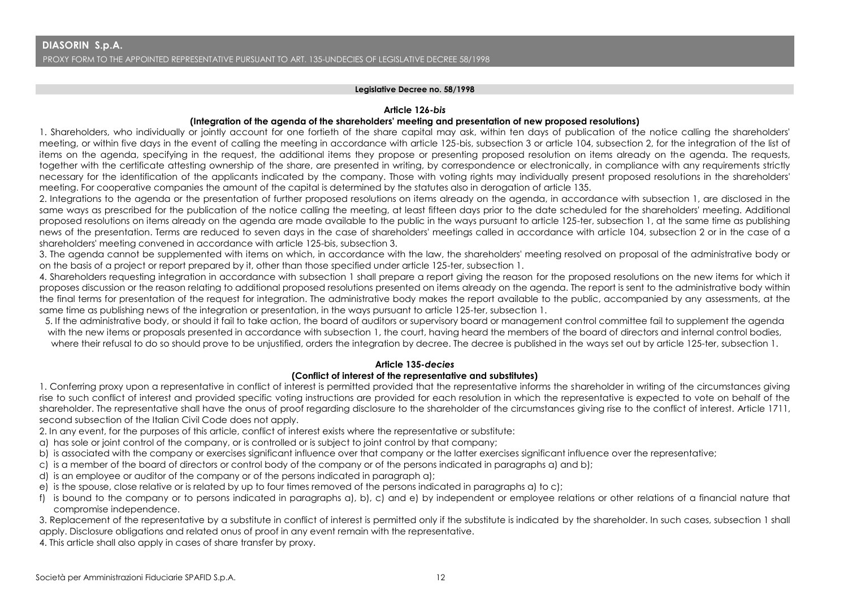#### **Legislative Decree no. 58/1998**

#### **Article 126-***bis*

### **(Integration of the agenda of the shareholders' meeting and presentation of new proposed resolutions)**

1. Shareholders, who individually or jointly account for one fortieth of the share capital may ask, within ten days of publication of the notice calling the shareholders' meeting, or within five days in the event of calling the meeting in accordance with article 125-bis, subsection 3 or article 104, subsection 2, for the integration of the list of items on the agenda, specifying in the request, the additional items they propose or presenting proposed resolution on items already on the agenda. The requests, together with the certificate attesting ownership of the share, are presented in writing, by correspondence or electronically, in compliance with any requirements strictly necessary for the identification of the applicants indicated by the company. Those with voting rights may individually present proposed resolutions in the shareholders' meeting. For cooperative companies the amount of the capital is determined by the statutes also in derogation of article 135.

2. Integrations to the agenda or the presentation of further proposed resolutions on items already on the agenda, in accordance with subsection 1, are disclosed in the same ways as prescribed for the publication of the notice calling the meeting, at least fifteen days prior to the date scheduled for the shareholders' meeting. Additional proposed resolutions on items already on the agenda are made available to the public in the ways pursuant to article 125-ter, subsection 1, at the same time as publishing news of the presentation. Terms are reduced to seven days in the case of shareholders' meetings called in accordance with article 104, subsection 2 or in the case of a shareholders' meeting convened in accordance with article 125-bis, subsection 3.

3. The agenda cannot be supplemented with items on which, in accordance with the law, the shareholders' meeting resolved on proposal of the administrative body or on the basis of a project or report prepared by it, other than those specified under article 125-ter, subsection 1.

4. Shareholders requesting integration in accordance with subsection 1 shall prepare a report giving the reason for the proposed resolutions on the new items for which it proposes discussion or the reason relating to additional proposed resolutions presented on items already on the agenda. The report is sent to the administrative body within the final terms for presentation of the request for integration. The administrative body makes the report available to the public, accompanied by any assessments, at the same time as publishing news of the integration or presentation, in the ways pursuant to article 125-ter, subsection 1.

5. If the administrative body, or should it fail to take action, the board of auditors or supervisory board or management control committee fail to supplement the agenda with the new items or proposals presented in accordance with subsection 1, the court, having heard the members of the board of directors and internal control bodies, where their refusal to do so should prove to be unjustified, orders the integration by decree. The decree is published in the ways set out by article 125-ter, subsection 1.

### **Article 135-***decies*

### **(Conflict of interest of the representative and substitutes)**

1. Conferring proxy upon a representative in conflict of interest is permitted provided that the representative informs the shareholder in writing of the circumstances giving rise to such conflict of interest and provided specific voting instructions are provided for each resolution in which the representative is expected to vote on behalf of the shareholder. The representative shall have the onus of proof regarding disclosure to the shareholder of the circumstances giving rise to the conflict of interest. Article 1711, second subsection of the Italian Civil Code does not apply.

2. In any event, for the purposes of this article, conflict of interest exists where the representative or substitute:

- a) has sole or joint control of the company, or is controlled or is subject to joint control by that company;
- b) is associated with the company or exercises significant influence over that company or the latter exercises significant influence over the representative;
- c) is a member of the board of directors or control body of the company or of the persons indicated in paragraphs a) and b);
- d) is an employee or auditor of the company or of the persons indicated in paragraph a);
- e) is the spouse, close relative or is related by up to four times removed of the persons indicated in paragraphs a) to c);
- f) is bound to the company or to persons indicated in paragraphs a), b), c) and e) by independent or employee relations or other relations of a financial nature that compromise independence.

3. Replacement of the representative by a substitute in conflict of interest is permitted only if the substitute is indicated by the shareholder. In such cases, subsection 1 shall apply. Disclosure obligations and related onus of proof in any event remain with the representative.

4. This article shall also apply in cases of share transfer by proxy.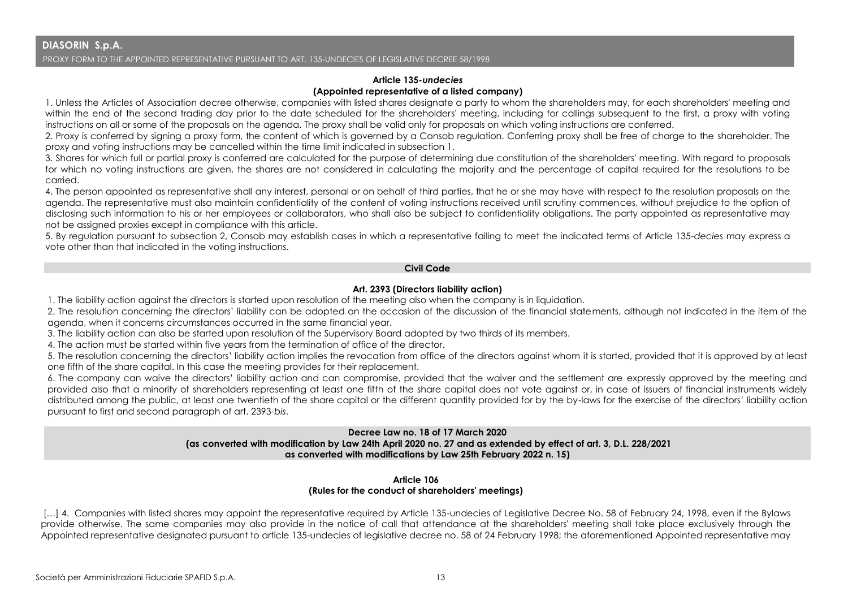## **Article 135-***undecies* **(Appointed representative of a listed company)**

1. Unless the Articles of Association decree otherwise, companies with listed shares designate a party to whom the shareholders may, for each shareholders' meeting and within the end of the second trading day prior to the date scheduled for the shareholders' meeting, including for callings subsequent to the first, a proxy with voting instructions on all or some of the proposals on the agenda. The proxy shall be valid only for proposals on which voting instructions are conferred.

2. Proxy is conferred by signing a proxy form, the content of which is governed by a Consob regulation. Conferring proxy shall be free of charge to the shareholder. The proxy and voting instructions may be cancelled within the time limit indicated in subsection 1.

3. Shares for which full or partial proxy is conferred are calculated for the purpose of determining due constitution of the shareholders' meeting. With regard to proposals for which no voting instructions are given, the shares are not considered in calculating the majority and the percentage of capital required for the resolutions to be carried.

4. The person appointed as representative shall any interest, personal or on behalf of third parties, that he or she may have with respect to the resolution proposals on the agenda. The representative must also maintain confidentiality of the content of voting instructions received until scrutiny commences, without prejudice to the option of disclosing such information to his or her employees or collaborators, who shall also be subject to confidentiality obligations. The party appointed as representative may not be assigned proxies except in compliance with this article.

5. By regulation pursuant to subsection 2, Consob may establish cases in which a representative failing to meet the indicated terms of Article 135-*decies* may express a vote other than that indicated in the voting instructions.

## **Civil Code**

## **Art. 2393 (Directors liability action)**

1. The liability action against the directors is started upon resolution of the meeting also when the company is in liquidation.

2. The resolution concerning the directors' liability can be adopted on the occasion of the discussion of the financial statements, although not indicated in the item of the agenda, when it concerns circumstances occurred in the same financial year.

3. The liability action can also be started upon resolution of the Supervisory Board adopted by two thirds of its members.

4. The action must be started within five years from the termination of office of the director.

5. The resolution concerning the directors' liability action implies the revocation from office of the directors against whom it is started, provided that it is approved by at least one fifth of the share capital. In this case the meeting provides for their replacement.

6. The company can waive the directors' liability action and can compromise, provided that the waiver and the settlement are expressly approved by the meeting and provided also that a minority of shareholders representing at least one fifth of the share capital does not vote against or, in case of issuers of financial instruments widely distributed among the public, at least one twentieth of the share capital or the different quantity provided for by the by-laws for the exercise of the directors' liability action pursuant to first and second paragraph of art. 2393-*bis*.

## **Decree Law no. 18 of 17 March 2020 (as converted with modification by Law 24th April 2020 no. 27 and as extended by effect of art. 3, D.L. 228/2021 as converted with modifications by Law 25th February 2022 n. 15)**

## **Article 106 (Rules for the conduct of shareholders' meetings)**

[...] 4. Companies with listed shares may appoint the representative required by Article 135-undecies of Leaislative Decree No. 58 of February 24, 1998, even if the Bylaws provide otherwise. The same companies may also provide in the notice of call that attendance at the shareholders' meeting shall take place exclusively through the Appointed representative designated pursuant to article 135-undecies of legislative decree no. 58 of 24 February 1998; the aforementioned Appointed representative may